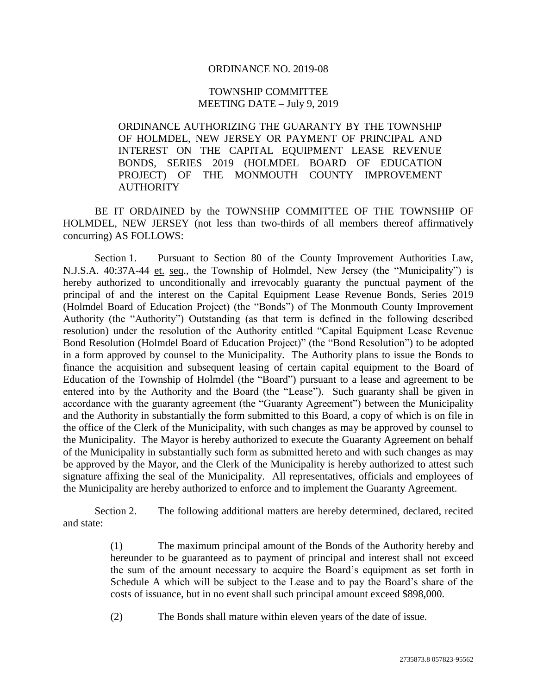### ORDINANCE NO. 2019-08

## TOWNSHIP COMMITTEE MEETING DATE – July 9, 2019

ORDINANCE AUTHORIZING THE GUARANTY BY THE TOWNSHIP OF HOLMDEL, NEW JERSEY OR PAYMENT OF PRINCIPAL AND INTEREST ON THE CAPITAL EQUIPMENT LEASE REVENUE BONDS, SERIES 2019 (HOLMDEL BOARD OF EDUCATION PROJECT) OF THE MONMOUTH COUNTY IMPROVEMENT **AUTHORITY** 

BE IT ORDAINED by the TOWNSHIP COMMITTEE OF THE TOWNSHIP OF HOLMDEL, NEW JERSEY (not less than two-thirds of all members thereof affirmatively concurring) AS FOLLOWS:

Section 1. Pursuant to Section 80 of the County Improvement Authorities Law, N.J.S.A. 40:37A-44 et. seq., the Township of Holmdel, New Jersey (the "Municipality") is hereby authorized to unconditionally and irrevocably guaranty the punctual payment of the principal of and the interest on the Capital Equipment Lease Revenue Bonds, Series 2019 (Holmdel Board of Education Project) (the "Bonds") of The Monmouth County Improvement Authority (the "Authority") Outstanding (as that term is defined in the following described resolution) under the resolution of the Authority entitled "Capital Equipment Lease Revenue Bond Resolution (Holmdel Board of Education Project)" (the "Bond Resolution") to be adopted in a form approved by counsel to the Municipality. The Authority plans to issue the Bonds to finance the acquisition and subsequent leasing of certain capital equipment to the Board of Education of the Township of Holmdel (the "Board") pursuant to a lease and agreement to be entered into by the Authority and the Board (the "Lease"). Such guaranty shall be given in accordance with the guaranty agreement (the "Guaranty Agreement") between the Municipality and the Authority in substantially the form submitted to this Board, a copy of which is on file in the office of the Clerk of the Municipality, with such changes as may be approved by counsel to the Municipality. The Mayor is hereby authorized to execute the Guaranty Agreement on behalf of the Municipality in substantially such form as submitted hereto and with such changes as may be approved by the Mayor, and the Clerk of the Municipality is hereby authorized to attest such signature affixing the seal of the Municipality. All representatives, officials and employees of the Municipality are hereby authorized to enforce and to implement the Guaranty Agreement.

Section 2. The following additional matters are hereby determined, declared, recited and state:

> (1) The maximum principal amount of the Bonds of the Authority hereby and hereunder to be guaranteed as to payment of principal and interest shall not exceed the sum of the amount necessary to acquire the Board's equipment as set forth in Schedule A which will be subject to the Lease and to pay the Board's share of the costs of issuance, but in no event shall such principal amount exceed \$898,000.

(2) The Bonds shall mature within eleven years of the date of issue.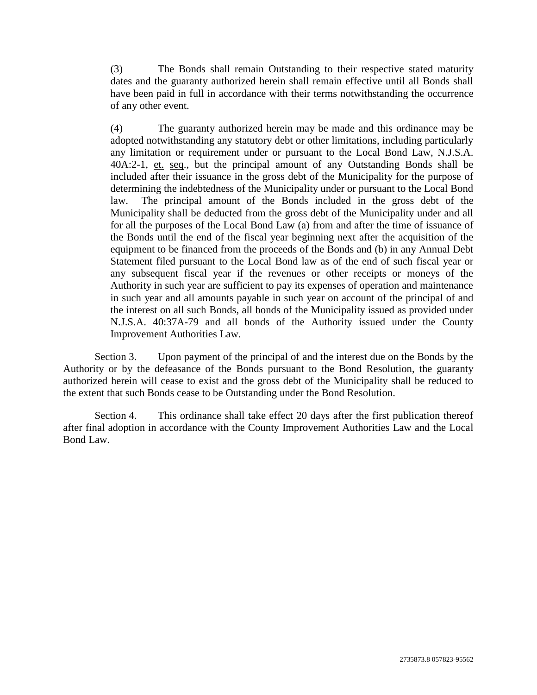(3) The Bonds shall remain Outstanding to their respective stated maturity dates and the guaranty authorized herein shall remain effective until all Bonds shall have been paid in full in accordance with their terms notwithstanding the occurrence of any other event.

(4) The guaranty authorized herein may be made and this ordinance may be adopted notwithstanding any statutory debt or other limitations, including particularly any limitation or requirement under or pursuant to the Local Bond Law, N.J.S.A. 40A:2-1, et. seq., but the principal amount of any Outstanding Bonds shall be included after their issuance in the gross debt of the Municipality for the purpose of determining the indebtedness of the Municipality under or pursuant to the Local Bond law. The principal amount of the Bonds included in the gross debt of the Municipality shall be deducted from the gross debt of the Municipality under and all for all the purposes of the Local Bond Law (a) from and after the time of issuance of the Bonds until the end of the fiscal year beginning next after the acquisition of the equipment to be financed from the proceeds of the Bonds and (b) in any Annual Debt Statement filed pursuant to the Local Bond law as of the end of such fiscal year or any subsequent fiscal year if the revenues or other receipts or moneys of the Authority in such year are sufficient to pay its expenses of operation and maintenance in such year and all amounts payable in such year on account of the principal of and the interest on all such Bonds, all bonds of the Municipality issued as provided under N.J.S.A. 40:37A-79 and all bonds of the Authority issued under the County Improvement Authorities Law.

Section 3. Upon payment of the principal of and the interest due on the Bonds by the Authority or by the defeasance of the Bonds pursuant to the Bond Resolution, the guaranty authorized herein will cease to exist and the gross debt of the Municipality shall be reduced to the extent that such Bonds cease to be Outstanding under the Bond Resolution.

Section 4. This ordinance shall take effect 20 days after the first publication thereof after final adoption in accordance with the County Improvement Authorities Law and the Local Bond Law.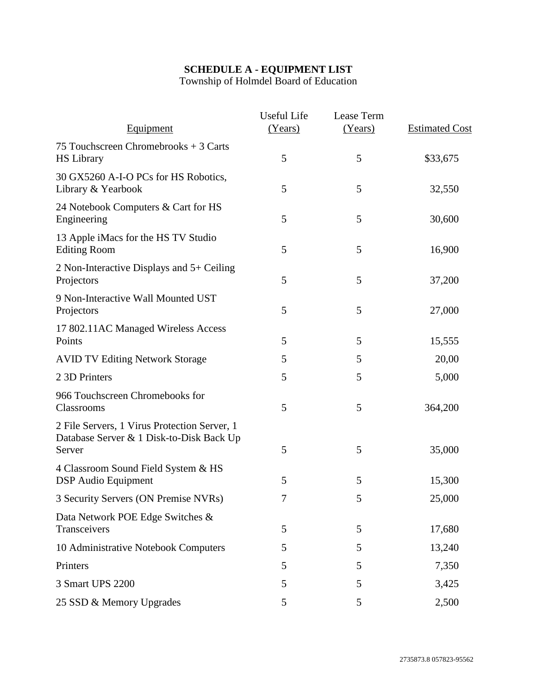# **SCHEDULE A - EQUIPMENT LIST**

Township of Holmdel Board of Education

| Equipment                                                                                          | Useful Life<br>(Years) | Lease Term<br>(Years) | <b>Estimated Cost</b> |
|----------------------------------------------------------------------------------------------------|------------------------|-----------------------|-----------------------|
| 75 Touchscreen Chromebrooks + 3 Carts<br><b>HS</b> Library                                         | 5                      | 5                     | \$33,675              |
| 30 GX5260 A-I-O PCs for HS Robotics,<br>Library & Yearbook                                         | 5                      | 5                     | 32,550                |
| 24 Notebook Computers & Cart for HS<br>Engineering                                                 | 5                      | 5                     | 30,600                |
| 13 Apple iMacs for the HS TV Studio<br><b>Editing Room</b>                                         | 5                      | 5                     | 16,900                |
| 2 Non-Interactive Displays and 5+ Ceiling<br>Projectors                                            | 5                      | 5                     | 37,200                |
| 9 Non-Interactive Wall Mounted UST<br>Projectors                                                   | 5                      | 5                     | 27,000                |
| 17 802.11AC Managed Wireless Access<br>Points                                                      | 5                      | 5                     | 15,555                |
| <b>AVID TV Editing Network Storage</b>                                                             | 5                      | 5                     | 20,00                 |
| 2 3D Printers                                                                                      | 5                      | 5                     | 5,000                 |
| 966 Touchscreen Chromebooks for<br>Classrooms                                                      | 5                      | 5                     | 364,200               |
| 2 File Servers, 1 Virus Protection Server, 1<br>Database Server & 1 Disk-to-Disk Back Up<br>Server | 5                      | 5                     | 35,000                |
| 4 Classroom Sound Field System & HS<br><b>DSP</b> Audio Equipment                                  | 5                      | 5                     | 15,300                |
| 3 Security Servers (ON Premise NVRs)                                                               | 7                      | 5                     | 25,000                |
| Data Network POE Edge Switches &<br>Transceivers                                                   | 5                      | 5                     | 17,680                |
| 10 Administrative Notebook Computers                                                               | 5                      | 5                     | 13,240                |
| Printers                                                                                           | 5                      | 5                     | 7,350                 |
| 3 Smart UPS 2200                                                                                   | 5                      | 5                     | 3,425                 |
| 25 SSD & Memory Upgrades                                                                           | 5                      | 5                     | 2,500                 |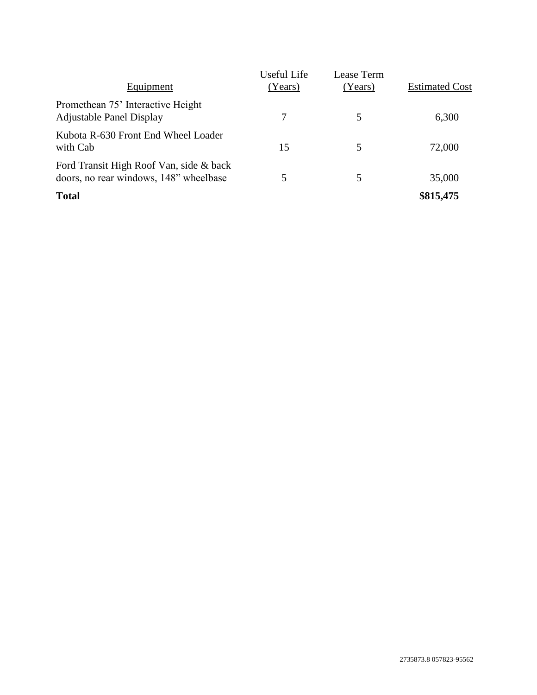| Equipment                                                                         | Useful Life<br>(Years) | Lease Term<br>(Years) | <b>Estimated Cost</b> |
|-----------------------------------------------------------------------------------|------------------------|-----------------------|-----------------------|
| Promethean 75' Interactive Height<br><b>Adjustable Panel Display</b>              | 7                      | 5                     | 6,300                 |
| Kubota R-630 Front End Wheel Loader<br>with Cab                                   | 15                     | 5                     | 72,000                |
| Ford Transit High Roof Van, side & back<br>doors, no rear windows, 148" wheelbase |                        | 5                     | 35,000                |
| <b>Total</b>                                                                      |                        |                       | \$815,475             |